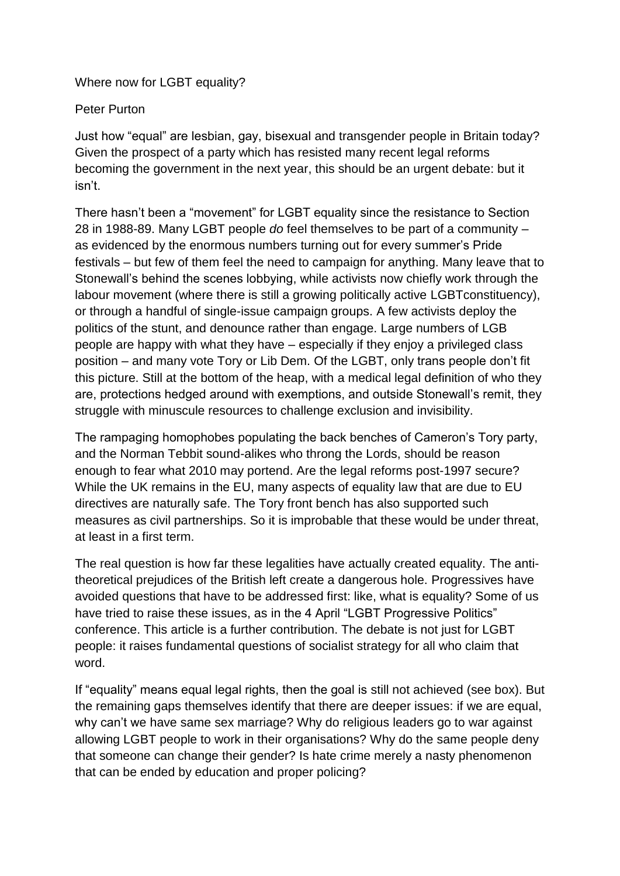Where now for LGBT equality?

Peter Purton

Just how "equal" are lesbian, gay, bisexual and transgender people in Britain today? Given the prospect of a party which has resisted many recent legal reforms becoming the government in the next year, this should be an urgent debate: but it isn't.

There hasn't been a "movement" for LGBT equality since the resistance to Section 28 in 1988-89. Many LGBT people *do* feel themselves to be part of a community – as evidenced by the enormous numbers turning out for every summer's Pride festivals – but few of them feel the need to campaign for anything. Many leave that to Stonewall's behind the scenes lobbying, while activists now chiefly work through the labour movement (where there is still a growing politically active LGBTconstituency), or through a handful of single-issue campaign groups. A few activists deploy the politics of the stunt, and denounce rather than engage. Large numbers of LGB people are happy with what they have – especially if they enjoy a privileged class position – and many vote Tory or Lib Dem. Of the LGBT, only trans people don't fit this picture. Still at the bottom of the heap, with a medical legal definition of who they are, protections hedged around with exemptions, and outside Stonewall's remit, they struggle with minuscule resources to challenge exclusion and invisibility.

The rampaging homophobes populating the back benches of Cameron's Tory party, and the Norman Tebbit sound-alikes who throng the Lords, should be reason enough to fear what 2010 may portend. Are the legal reforms post-1997 secure? While the UK remains in the EU, many aspects of equality law that are due to EU directives are naturally safe. The Tory front bench has also supported such measures as civil partnerships. So it is improbable that these would be under threat, at least in a first term.

The real question is how far these legalities have actually created equality. The antitheoretical prejudices of the British left create a dangerous hole. Progressives have avoided questions that have to be addressed first: like, what is equality? Some of us have tried to raise these issues, as in the 4 April "LGBT Progressive Politics" conference. This article is a further contribution. The debate is not just for LGBT people: it raises fundamental questions of socialist strategy for all who claim that word.

If "equality" means equal legal rights, then the goal is still not achieved (see box). But the remaining gaps themselves identify that there are deeper issues: if we are equal, why can't we have same sex marriage? Why do religious leaders go to war against allowing LGBT people to work in their organisations? Why do the same people deny that someone can change their gender? Is hate crime merely a nasty phenomenon that can be ended by education and proper policing?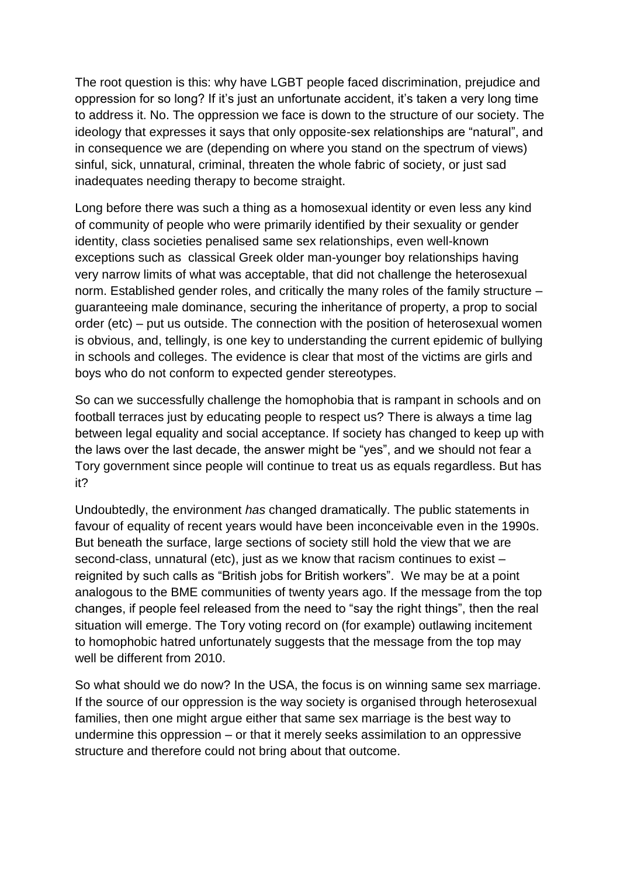The root question is this: why have LGBT people faced discrimination, prejudice and oppression for so long? If it's just an unfortunate accident, it's taken a very long time to address it. No. The oppression we face is down to the structure of our society. The ideology that expresses it says that only opposite-sex relationships are "natural", and in consequence we are (depending on where you stand on the spectrum of views) sinful, sick, unnatural, criminal, threaten the whole fabric of society, or just sad inadequates needing therapy to become straight.

Long before there was such a thing as a homosexual identity or even less any kind of community of people who were primarily identified by their sexuality or gender identity, class societies penalised same sex relationships, even well-known exceptions such as classical Greek older man-younger boy relationships having very narrow limits of what was acceptable, that did not challenge the heterosexual norm. Established gender roles, and critically the many roles of the family structure – guaranteeing male dominance, securing the inheritance of property, a prop to social order (etc) – put us outside. The connection with the position of heterosexual women is obvious, and, tellingly, is one key to understanding the current epidemic of bullying in schools and colleges. The evidence is clear that most of the victims are girls and boys who do not conform to expected gender stereotypes.

So can we successfully challenge the homophobia that is rampant in schools and on football terraces just by educating people to respect us? There is always a time lag between legal equality and social acceptance. If society has changed to keep up with the laws over the last decade, the answer might be "yes", and we should not fear a Tory government since people will continue to treat us as equals regardless. But has it?

Undoubtedly, the environment *has* changed dramatically. The public statements in favour of equality of recent years would have been inconceivable even in the 1990s. But beneath the surface, large sections of society still hold the view that we are second-class, unnatural (etc), just as we know that racism continues to exist – reignited by such calls as "British jobs for British workers". We may be at a point analogous to the BME communities of twenty years ago. If the message from the top changes, if people feel released from the need to "say the right things", then the real situation will emerge. The Tory voting record on (for example) outlawing incitement to homophobic hatred unfortunately suggests that the message from the top may well be different from 2010.

So what should we do now? In the USA, the focus is on winning same sex marriage. If the source of our oppression is the way society is organised through heterosexual families, then one might argue either that same sex marriage is the best way to undermine this oppression – or that it merely seeks assimilation to an oppressive structure and therefore could not bring about that outcome.